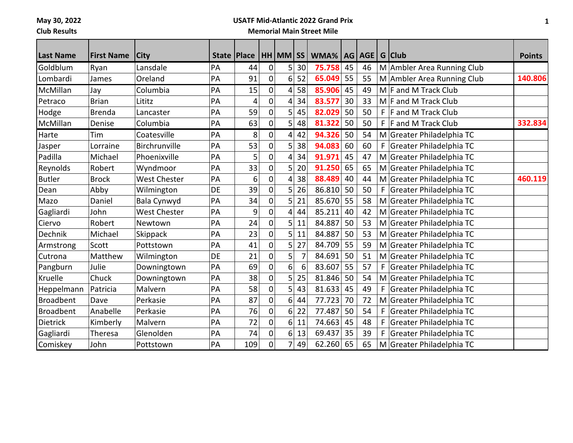**May 30, 2022**

**Club Results**

## **USATF Mid-Atlantic 2022 Grand Prix**

## **Memorial Main Street Mile**

| <b>Last Name</b> | <b>First Name</b> | <b>City</b>         | State   Place |     |             | $HH$ MM $ SS $   |    | WMA%   AG   AGE   G   Club |    |    |    |                            | <b>Points</b> |
|------------------|-------------------|---------------------|---------------|-----|-------------|------------------|----|----------------------------|----|----|----|----------------------------|---------------|
| Goldblum         | Ryan              | Lansdale            | PA            | 44  | $\mathbf 0$ | 5 <sup>1</sup>   | 30 | 75.758                     | 45 | 46 |    | M Ambler Area Running Club |               |
| Lombardi         | James             | Oreland             | PA            | 91  | 0           | 6 <sup>1</sup>   | 52 | 65.049                     | 55 | 55 |    | M Ambler Area Running Club | 140.806       |
| McMillan         | Jay               | Columbia            | PA            | 15  | 0           | $\vert 4 \vert$  | 58 | 85.906                     | 45 | 49 |    | M F and M Track Club       |               |
| Petraco          | <b>Brian</b>      | Lititz              | PA            | 4   | 0           | $\vert 4 \vert$  | 34 | 83.577                     | 30 | 33 |    | $M$ F and M Track Club     |               |
| Hodge            | <b>Brenda</b>     | Lancaster           | PA            | 59  | 0           | 5 <sup>1</sup>   | 45 | 82.029                     | 50 | 50 | F. | F and M Track Club         |               |
| McMillan         | Denise            | Columbia            | PA            | 63  | 0           | 5 <sup>1</sup>   | 48 | 81.322                     | 50 | 50 | F  | F and M Track Club         | 332.834       |
| Harte            | Tim               | Coatesville         | PA            | 8   | 0           | $\vert 4 \vert$  | 42 | 94.326                     | 50 | 54 |    | M Greater Philadelphia TC  |               |
| Jasper           | Lorraine          | Birchrunville       | PA            | 53  | 0           | 5 <sub>l</sub>   | 38 | 94.083                     | 60 | 60 | F  | Greater Philadelphia TC    |               |
| Padilla          | Michael           | Phoenixville        | PA            | 5   | 0           | 4                | 34 | 91.971                     | 45 | 47 |    | M Greater Philadelphia TC  |               |
| Reynolds         | Robert            | Wyndmoor            | PA            | 33  | 0           | 5 <sup>1</sup>   | 20 | 91.250                     | 65 | 65 |    | M Greater Philadelphia TC  |               |
| <b>Butler</b>    | <b>Brock</b>      | <b>West Chester</b> | PA            | 6   | 0           | $\overline{4}$   | 38 | 88.489                     | 40 | 44 |    | M Greater Philadelphia TC  | 460.119       |
| Dean             | Abby              | Wilmington          | DE            | 39  | 0           | 5 <sub>l</sub>   | 26 | 86.810                     | 50 | 50 |    | Greater Philadelphia TC    |               |
| Mazo             | Daniel            | Bala Cynwyd         | PA            | 34  | 0           | 5 <sup>1</sup>   | 21 | 85.670                     | 55 | 58 |    | M Greater Philadelphia TC  |               |
| Gagliardi        | John              | West Chester        | PA            | 9   | 0           | 4                | 44 | 85.211                     | 40 | 42 |    | M Greater Philadelphia TC  |               |
| Ciervo           | Robert            | Newtown             | PA            | 24  | 0           | 5 <sup>1</sup>   | 11 | 84.887                     | 50 | 53 |    | M Greater Philadelphia TC  |               |
| Dechnik          | Michael           | Skippack            | PA            | 23  | 0           | 5 <sup>1</sup>   | 11 | 84.887                     | 50 | 53 |    | M Greater Philadelphia TC  |               |
| Armstrong        | Scott             | Pottstown           | PA            | 41  | 0           | 5 <sup>1</sup>   | 27 | 84.709                     | 55 | 59 |    | M Greater Philadelphia TC  |               |
| Cutrona          | Matthew           | Wilmington          | DE            | 21  | 0           | 5                |    | 84.691                     | 50 | 51 |    | M Greater Philadelphia TC  |               |
| Pangburn         | Julie             | Downingtown         | PA            | 69  | $\mathbf 0$ | 6 <sup>1</sup>   | 6  | 83.607                     | 55 | 57 | F  | Greater Philadelphia TC    |               |
| Kruelle          | Chuck             | Downingtown         | PA            | 38  | 0           | 5 <sup>1</sup>   | 25 | 81.846                     | 50 | 54 |    | M Greater Philadelphia TC  |               |
| Heppelmann       | Patricia          | Malvern             | PA            | 58  | 0           | 5 <sub>l</sub>   | 43 | 81.633                     | 45 | 49 | F  | Greater Philadelphia TC    |               |
| <b>Broadbent</b> | Dave              | Perkasie            | PA            | 87  | $\mathbf 0$ | $6 \overline{6}$ | 44 | 77.723                     | 70 | 72 |    | M Greater Philadelphia TC  |               |
| <b>Broadbent</b> | Anabelle          | Perkasie            | PA            | 76  | 0           | 6 <sup>1</sup>   | 22 | 77.487                     | 50 | 54 | F  | Greater Philadelphia TC    |               |
| Dietrick         | Kimberly          | Malvern             | PA            | 72  | 0           | $6 \overline{6}$ | 11 | 74.663                     | 45 | 48 | F  | Greater Philadelphia TC    |               |
| Gagliardi        | Theresa           | Glenolden           | PA            | 74  | $\mathbf 0$ | 6 <sup>1</sup>   | 13 | 69.437                     | 35 | 39 | F  | Greater Philadelphia TC    |               |
| Comiskey         | John              | Pottstown           | PA            | 109 | 0           | 7                | 49 | 62.260                     | 65 | 65 |    | M Greater Philadelphia TC  |               |